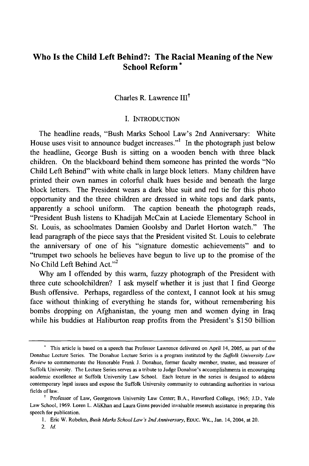# **Who Is the Child Left Behind?: The Racial Meaning** of the **New School Reform \***

# Charles R. Lawrence III<sup>†</sup>

### I. INTRODUCTION

The headline reads, "Bush Marks School Law's 2nd Anniversary: White House uses visit to announce budget increases."<sup>1</sup> In the photograph just below the headline, George Bush is sitting on a wooden bench with three black children. On the blackboard behind them someone has printed the words "No Child Left Behind" with white chalk in large block letters. Many children have printed their own names in colorful chalk hues beside and beneath the large block letters. The President wears a dark blue suit and red tie for this photo opportunity and the three children are dressed in white tops and dark pants, apparently a school uniform. The caption beneath the photograph reads, "President Bush listens to Khadijah McCain at Laciede Elementary School in St. Louis, as schoolmates Damien Goolsby and Darlet Horton watch." The lead paragraph of the piece says that the President visited St. Louis to celebrate the anniversary of one of his "signature domestic achievements" and to "trumpet two schools he believes have begun to live up to the promise of the No Child Left Behind Act." $2$ 

Why am I offended by this warm, fuzzy photograph of the President with three cute schoolchildren? I ask myself whether it is just that I find George Bush offensive. Perhaps, regardless of the context, I cannot look at his smug face without thinking of everything he stands for, without remembering his bombs dropping on Afghanistan, the young men and women dying in Iraq while his buddies at Haliburton reap profits from the President's \$150 billion

<sup>•</sup> This article is based on a speech that Professor Lawrence delivered on April 14, 2005, as part of the Donahue Lecture Series. The Donahue Lecture Series is a program instituted by the *Suffolk University Law Review* to commemorate the Honorable Frank 1. Donahue, former faculty member, trustee, and treasurer of Suffolk University. The Lecture Series serves as a tribute to Judge Donahue's accomplishments in encouraging academic excellence at Suffolk University Law School. Each lecture in the series is designed to address contemporary legal issues and expose the Suffolk University community to outstanding authorities in various fields of law.

<sup>&</sup>lt;sup>†</sup> Professor of Law, Georgetown University Law Center; B.A., Haverford College, 1965; J.D., Yale Law School, 1969. Loren L. AliKhan and Laura Ginns provided invaluable research assistance in preparing this speech for publication.

I. Eric W. Robelen, *Bush Marks School Law's 2nd Anniversary,* EDUC. WK., Jan. 14,2004, at 20.

*<sup>2.</sup> Id.*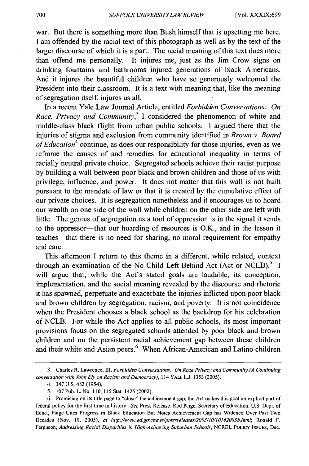war. But there is something more than Bush himself that is upsetting me here. I am offended by the racial text of this photograph as well as by the text of the larger discourse of which it is a part. The racial meaning of this text does more than offend me personally. It injures me, just as the Jim Crow signs on drinking fountains and bathrooms injured generations of black Americans. And it injures the beautiful children who have so generously welcomed the President into their classroom. It is a text with meaning that, like the meaning of segregation itself, injures us all.

In a recent Yale Law Journal Article, entitled *Forbidden Conversations: On Race, Privacy and Community*,<sup>3</sup> I considered the phenomenon of white and middle-class black flight from urban public schools. I argued there that the injuries of stigma and exclusion from community identified in *Brown* v. *Board of Education4* continue, as does our responsibility for those injuries, even as we reframe the causes of and remedies for educational inequality in terms of racially neutral private choice. Segregated schools achieve their racist purpose by building a wall between poor black and brown children and those of us with privilege, influence, and power. It does not matter that this wall is not built pursuant to the mandate of law or that it is created by the cumulative effect of our private choices. It is segregation nonetheless and it encourages us to hoard our wealth on one side of the wall while children on the other side are left with little. The genius of segregation as a tool of oppression is in the signal it sends to the oppressor—that our hoarding of resources is O.K., and in the lesson it teaches—that there is no need for sharing, no moral requirement for empathy and care.

This afternoon I return to this theme in a different, while related, context through an examination of the No Child Left Behind Act (Act or NCLB).<sup>5</sup> I will argue that, while the Act's stated goals are laudable, its conception, implementation, and the social meaning revealed by the discourse and rhetoric it has spawned, perpetuate and exacerbate the injuries inflicted upon poor black and brown children by segregation, racism, and poverty. It is not coincidence when the President chooses a black school as the backdrop for his celebration of NCLB. For while the Act applies to all public schools, its most important provisions focus on the segregated schools attended by poor black and brown children and on the persistent racial achievement gap between these children and their white and Asian peers.<sup>6</sup> When African-American and Latino children

<sup>3.</sup> Charles R. Lawrence, III, *Forbidden Conversations: On Race Privacy and Community (A Continuing conversation with John Ely on Racism and Democracy),* 114 YALE L.J. 1353 (2005).

<sup>4. 347</sup> U.S. 483 (1954).

<sup>5. 107</sup> Pub. L. No. 110, 115 Stat. 1425 (2002).

<sup>6.</sup> Promising on its title page to "close" the achievement gap, the Act makes this goal an explicit part of federal policy for the first time in history. *See* Press Release, Rod Paige, Secretary of Education, U.S. Dept. of Educ., Paige Cites Progress in Black Education But Notes Achievement Gap has Widened Over Past Two Decades (Nov. 19, 2005), *at http://www.ed.gov/news/pressreleases/2003//o//oJ42003b.html;* Ronald F. Ferguson, *Addressing Racial Disparities in High-Achieving Suburban Schools,* NCREL POLICY ISSUES, Dec.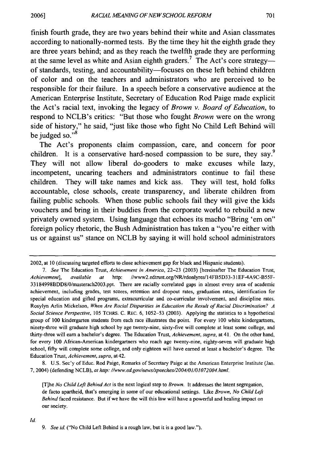finish fourth grade, they are two years behind their white and Asian classmates according to nationally-normed tests. By the time they hit the eighth grade they are three years behind; and as they reach the twelfth grade they are performing at the same level as white and Asian eighth graders.<sup>7</sup> The Act's core strategy-of standards, testing, and accountability-focuses on these left behind children of color and on the teachers and administrators who are perceived to be responsible for their failure. In a speech before a conservative audience at the American Enterprise Institute, Secretary of Education Rod Paige made explicit the Act's racial text, invoking the legacy of *Brown* v. *Board of Education,* to respond to NCLB's critics: "But those who fought *Brown* were on the wrong side of history," he said, "just like those who fight No Child Left Behind will be judged so. $"$ <sup>8</sup>

The Act's proponents claim compassion, care, and concern for poor children. It is a conservative hard-nosed compassion to be sure, they say.<sup>9</sup> They will not allow liberal do-gooders to make excuses while lazy, incompetent, uncaring teachers and administrators continue to fail these children. They will take names and kick ass. They will test, hold folks accountable, close schools, create transparency, and liberate children from failing public schools. When those public schools fail they will give the kids vouchers and bring in their buddies from the corporate world to rebuild a new privately owned system. Using language that echoes its macho "Bring 'em on" foreign policy rhetoric, the Bush Administration has taken a "you're either with us or against us" stance on NCLB by saying it will hold school administrators

8. U.S. Sec'y of Educ. Rod Paige, Remarks of Secretary Paige at the American Enterprise Institute (Jan. 7,2004) (defending NCLB), *at http://www.ed.gov/news/speeches/2004/01/0J072004.html.* 

[T)he *No Child Left Behind Act* is the next logical step to *Brown.* It addresses the latent segregation, de facto apartheid, that's emerging in some of our educational settings. Like *Brown, No Child Left Behind* faced resistance. But if we have the will this law will have a powerful and healing impact on our society.

<sup>2002,</sup> at 10 (discussing targeted efforts to close achievement gap for black and Hispanic students).

*<sup>7.</sup> See* The Education Trust, *Achievement in America,* 22-23 (2003) [hereinafter The Education Trust, Achievement], available at http: //www2.edtrust.org/NR/rdonlyres/14FB5D33-31EF-4A9C-B55F-33l84998BDD8/0/masterach2003.ppt. There are racially correlated gaps in almost every area of academic achievement, including grades, test scores, retention and dropout rates, graduation rates, identification for special education and gifted programs, extracurricular and co-curricular involvement, and discipline rates. Rosylyn Arlin Mickelson, *When Are Racial Disparities in Education the Result of Racial Discrimination? A Social Science Perspective,* 105 TCHRS. C. REc. 6, 1052-53 (2003). Applying the statistics to a hypothetical group of 100 kindergarten students from each race illustrates the point. For every 100 white kindergartners, ninety-three will graduate high school by age twenty-nine, sixty-five will complete at least some college, and thirty-three will earn a bachelor's degree. The Education Trust, *Achievement, supra,* at 41. On the other hand, for every 100 African-American kindergartners who reach age twenty-nine, eighty-seven will graduate high school, fifty will complete some college, and only eighteen will have earned at least a bachelor's degree. The Education Trust, *Achievement, supra,* at 42.

*<sup>9.</sup> See id.* ("No Child Left Behind is a rough law, but it is a good law.").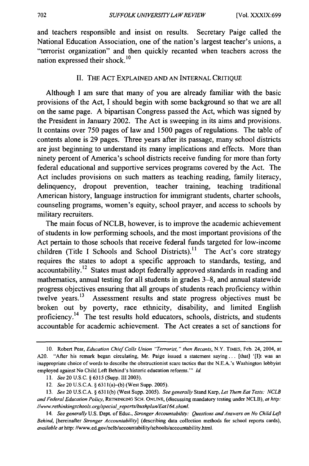and teachers responsible and insist on results. Secretary Paige called the National Education Association, one of the nation's largest teacher's unions, a "terrorist organization" and then quickly recanted when teachers across the nation expressed their shock. 10

### II. THE ACT EXPLAINED AND AN INTERNAL CRITIQUE

Although I am sure that many of you are already familiar with the basic provisions of the Act, I should begin with some background so that we are all on the same page. A bipartisan Congress passed the Act, which was signed by the President in January 2002. The Act is sweeping in its aims and provisions. It contains over 750 pages of law and 1500 pages of regulations. The table of contents alone is 29 pages. Three years after its passage, many school districts are just beginning to understand its many implications and effects. More than ninety percent of America's school districts receive funding for more than forty federal educational and supportive services programs covered by the Act. The Act includes provisions on such matters as teaching reading, family literacy, delinquency, dropout prevention, teacher training, teaching traditional American history, language instruction for immigrant students, charter schools, counseling programs, women's equity, school prayer, and access to schools by military recruiters.

The main focus of NCLB, however, is to improve the academic achievement of students in low performing schools, and the most important provisions of the Act pertain to those schools that receive federal funds targeted for low-income children (Title I Schools and School Districts).<sup>11</sup> The Act's core strategy requires the states to adopt a specific approach to standards, testing, and accountability.<sup>12</sup> States must adopt federally approved standards in reading and mathematics, annual testing for all students in grades 3-8, and annual statewide progress objectives ensuring that all groups of students reach proficiency within twelve years.<sup>13</sup> Assessment results and state progress objectives must be broken out by poverty, race ethnicity, disability, and limited English proficiency.<sup>14</sup> The test results hold educators, schools, districts, and students accountable for academic achievement. The Act creates a set of sanctions for

<sup>10.</sup> Robert Pear, *Education Chief Calls Union "Terrorist," then Recants,* N.Y. TIMES, Feb. 24,2004, at A20. "After his remark began circulating, Mr. Paige issued a statement saying... [that] '[I]t was an inappropriate choice of words to describe the obstructionist scare tactics that the N.E.A.'s Washington lobbyist employed against No Child Left Behind's historic education reforms.'" *Id.* 

I I. *See* 20 U.S.c. § 6315 (Supp. III 2003).

<sup>12.</sup> See 20 U.S.C.A. § 6311(a)-(b) (West Supp. 2005).

*<sup>13.</sup> See* 20 U.S.c.A. § 631 I (b) (West Supp. 2005). *See generally* Stand Karp, *Let Them Eat Tests: NCLB and Federal Education Policy,* RETHINKING SCH. ONLINE, (discussing mandatory testing under NClB), *at http:*  //www.rethinkingschools.org/special reports/bushplan/Eat164.shtml.

*<sup>14.</sup> See generally* U.S. Dept. of Educ., *Stranger Accountability: Questions and Answers on No Child Left Behind,* [hereinafter *Stronger Accountability]* (describing data collection methods for school reports cards), available at http://www.ed.gov/nclb/accountability/schools/accountability.html.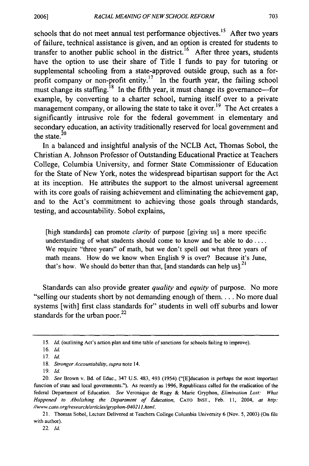schools that do not meet annual test performance objectives.<sup>15</sup> After two years of failure, technical assistance is given, and an option is created for students to transfer to another public school in the district.<sup>16</sup> After three years, students have the option to use their share of Title I funds to pay for tutoring or supplemental schooling from a state-approved outside group, such as a forprofit company or non-profit entity.<sup>17</sup> In the fourth year, the failing school must change its staffing.<sup>18</sup> In the fifth year, it must change its governance—for example, by converting to a charter school, turning itself over to a private management company, or allowing the state to take it over.<sup>19</sup> The Act creates a significantly intrusive role for the federal government in elementary and secondary education, an activity traditionally reserved for local government and the state. $20$ 

In a balanced and insightful analysis of the NCLB Act, Thomas Sobol, the Christian A. Johnson Professor of Outstanding Educational Practice at Teachers College, Columbia University, and former State Commissioner of Education for the State of New York, notes the widespread bipartisan support for the Act at its inception. He attributes the support to the almost universal agreement with its core goals of raising achievement and eliminating the achievement gap, and to the Act's commitment to achieving those goals through standards, testing, and accountability. Sobol explains,

[high standards] can promote *clarity* of purpose [giving us] a more specific understanding of what students should come to know and be able to do .... We require "three years" of math, but we don't spell out what three years of math means. How do we know when English 9 is over? Because it's June, that's how. We should do better than that, [and standards can help us].<sup>21</sup>

Standards can also provide greater *quality* and *equity* of purpose. No more "selling our students short by not demanding enough of them .... No more dual systems [with] first class standards for" students in well off suburbs and lower standards for the urban poor. $^{22}$ 

<sup>15.</sup> *Id.* (outlining Act's action plan and time table of sanctions for schools failing to improve).

<sup>16.</sup> *Id.* 

*<sup>17.</sup> Id.* 

<sup>18.</sup> *Stronger Accountability, supra* note 14.

*<sup>19.</sup> Id.* 

*<sup>20.</sup> See* Brown v. Bd. of Educ., 347 U.S. 483, 493 (1954) ("[E]ducation is perhaps the most important function of state and local governments."). As recently as 1996, Republicans called for the eradication of the federal Department of Education. *See* Veronique de Rugy & Marie Gryphon, *Elimination Lost: What Happened to Abolishing the Department of Education,* CATO INST., Feb. II, 2004, *at http: Ilwww.cato.orglresearchlarticleslgryphon-040211.html.* 

<sup>21.</sup> Thomas Sobol, Lecture Delivered at Teachers College Columbia University 6 (Nov. 5,2003) (On file with author).

*<sup>22.</sup> Id.*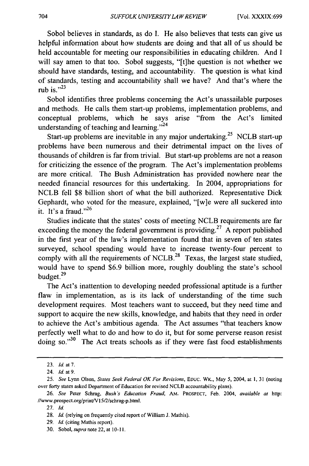Sobol believes in standards, as do I. He also believes that tests can give us helpful infonnation about how students are doing and that all of us should be held accountable for meeting our responsibilities in educating children. And I will say amen to that too. Sobol suggests, "[t]he question is not whether we should have standards, testing, and accountability. The question is what kind of standards, testing and accountability shall we have? And that's where the rub is. $^{123}$ 

Sobol identifies three problems concerning the Act's unassailable purposes and methods. He calls them start-up problems, implementation problems, and conceptual problems, which he says arise "from the Act's limited understanding of teaching and learning. $v<sup>24</sup>$ 

Start-up problems are inevitable in any major undertaking.<sup>25</sup> NCLB start-up problems have been numerous and their detrimental impact on the lives of thousands of children is far from trivial. But start-up problems are not a reason for criticizing the essence of the program. The Act's implementation problems are more critical. The Bush Administration has provided nowhere near the needed financial resources for this undertaking. In 2004, appropriations for NCLB fell \$8 billion short of what the bill authorized. Representative Dick Gephardt, who voted for the measure, explained, "[ w]e were all suckered into it. It's a fraud." $^{26}$ 

Studies indicate that the states' costs of meeting NCLB requirements are far exceeding the money the federal government is providing.<sup>27</sup> A report published in the first year of the law's implementation found that in seven of ten states surveyed, school spending would have to increase twenty-four percent to comply with all the requirements of NCLB.<sup>28</sup> Texas, the largest state studied, would have to spend \$6.9 billion more, roughly doubling the state's school budget.<sup>29</sup>

The Act's inattention to developing needed professional aptitude is a further flaw in implementation, as is its lack of understanding of the time such development requires. Most teachers want to succeed, but they need time and support to acquire the new skills, knowledge, and habits that they need in order to achieve the Act's ambitious agenda. The Act assumes "that teachers know perfectly well what to do and how to do it, but for some perverse reason resist doing so. $130$  The Act treats schools as if they were fast food establishments

27. ld.

<sup>23.</sup> fd. at 7.

<sup>24.</sup> *Id.* at 9.

*<sup>25.</sup> See* Lynn Olson, *States Seek Federal OK For Revisions,* Eouc. WK., May 5, 2004, at 1,31 (noting over forty states asked Department of Education for revised NCLB accountability plans).

*<sup>26.</sup> See* Peter Schrag, *Bush's Education Fraud,* AM. PROSPECT, Feb. 2004, *available at* http: //www.prospect.org/print/V15/2/schrag-p.html.

<sup>28.</sup> *Id.* (relying on frequently cited report of William J. Mathis).

<sup>29.</sup> *Id.* (citing Mathis report).

<sup>30.</sup> Sobol, *supra* note 22, at 10-11.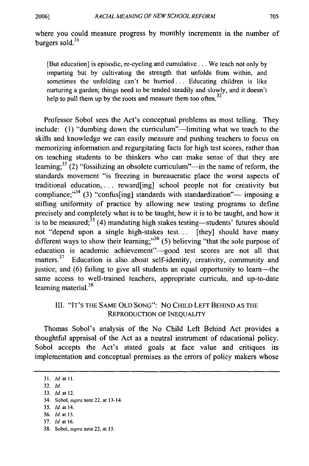where you could measure progress by monthly increments in the number of burgers sold. $31$ 

[But education] is episodic, re-cycling and cumulative ... We teach not only by imparting but by cultivating the strength that unfolds from within, and sometimes the unfolding can't be hurried... Educating children is like nurturing a garden; things need to be tended steadily and slowly, and it doesn't help to pull them up by the roots and measure them too often. $32$ 

Professor Sobol sees the Act's conceptual problems as most telling. They include: (1) "dumbing down the curriculum"—limiting what we teach to the skills and knowledge we can easily measure and pushing teachers to focus on memorizing information and regurgitating facts for high test scores, rather than on teaching students to be thinkers who can make sense of that they are learning;<sup>33</sup> (2) "fossilizing an obsolete curriculum"—in the name of reform, the standards movement "is freezing in bureaucratic place the worst aspects of traditional education,... reward[ing] school people not for creativity but compliance; $^{34}$  (3) "confus[ing] standards with standardization"— imposing a stifling uniformity of practice by allowing new testing programs to define precisely and completely what is to be taught, how it is to be taught, and how it is to be measured;<sup>35</sup> (4) mandating high stakes testing—students' futures should not "depend upon a single high-stakes test... [they] should have many different ways to show their learning;" $36$  (5) believing "that the sole purpose of education is academic achievement"-good test scores are not all that matters.<sup>37</sup> Education is also about self-identity, creativity, community and justice; and (6) failing to give all students an equal opportunity to learn—the same access to well-trained teachers, appropriate curricula, and up-to-date  $learning material.<sup>38</sup>$ 

## III. "IT'S THE SAME OLD SONG": No CHILD LEFT BEHIND AS THE REPRODUCTION OF INEQUALITY

Thomas Sobol's analysis of the No Child Left Behind Act provides a thoughtful appraisal of the Act as a neutral instrument of educational policy. Sobol accepts the Act's stated goals at face value and critiques its implementation and conceptual premises as the errors of policy makers whose

<sup>31.</sup> *Id.* at 11.

 $32.$   $Id.$ 

<sup>33.</sup> *Id.* at 12.

<sup>34.</sup> Sobol, *supra* note 22, at 13-14.

<sup>35.</sup> [d. at 14.

<sup>36.</sup> *Id.* at 15.

<sup>37.</sup> *Id.* at 16.

<sup>38.</sup> Sobol, *supra* note 22, at 15.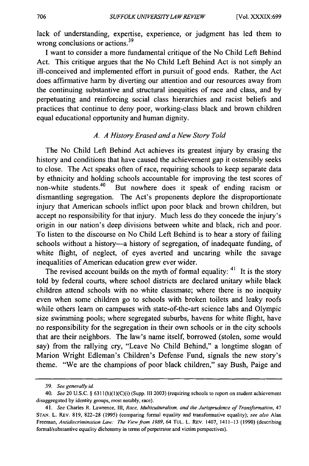lack of understanding, expertise, experience, or judgment has led them to wrong conclusions or actions.<sup>39</sup>

I want to consider a more fundamental critique of the No Child Left Behind Act. This critique argues that the No Child Left Behind Act is not simply an ill-conceived and implemented effort in pursuit of good ends. Rather, the Act does affirmative harm by diverting our attention and our resources away from the continuing substantive and structural inequities of race and class, and by perpetuating and reinforcing social class hierarchies and racist beliefs and practices that continue to deny poor, working-class black and brown children equal educational opportunity and human dignity.

### *A. A History Erased and a New Story Told*

The No Child Left Behind Act achieves its greatest injury by erasing the history and conditions that have caused the achievement gap it ostensibly seeks to close. The Act speaks often of race, requiring schools to keep separate data by ethnicity and holding schools accountable for improving the test scores of non-white students.<sup>40</sup> But nowhere does it speak of ending racism or But nowhere does it speak of ending racism or dismantling segregation. The Act's proponents deplore the disproportionate injury that American schools inflict upon poor black and brown children, but accept no responsibility for that injury. Much less do they concede the injury's origin in our nation's deep divisions between white and black, rich and poor. To listen to the discourse on No Child Left Behind is to hear a story of failing schools without a history-a history of segregation, of inadequate funding, of white flight, of neglect, of eyes averted and uncaring while the savage inequalities of American education grew ever wider.

The revised account builds on the myth of formal equality:  $41$  It is the story told by federal courts, where school districts are declared unitary while black children attend schools with no white classmate; where there is no inequity even when some children go to schools with broken toilets and leaky roofs while others learn on campuses with state-of-the-art science labs and Olympic size swimming pools; where segregated suburbs, havens for white flight, have no responsibility for the segregation in their own schools or in the city schools that are their neighbors. The law's name itself, borrowed (stolen, some would say) from the rallying cry, "Leave No Child Behind," a longtime slogan of Marion Wright Edleman's Children's Defense Fund, signals the new story's theme. "Weare the champions of poor black children," say Bush, Paige and

*<sup>39.</sup> See generally id.* 

*<sup>40.</sup> See* 20 V.S.c. § 6311 (h)(1 )(C)(i) (Supp. III 2003) (requiring schools to report on student achievement disaggregated by identity groups, most notably, race).

*<sup>41.</sup> See* Charles R. Lawrence, III, *Race, Multiculturalism, and the Jurisprudence of Transformation,* 47 STAN. L. REv. 819, 822-28 (1995) (comparing formal equality and transformative equality); *see also* Alan Freeman, *Antidiscrimination Law: The View from 1989*, 64 TUL. L. REV. 1407, 1411-13 (1990) (describing formal/substantive equality dichotomy in terms of perpetrator and victim perspectives).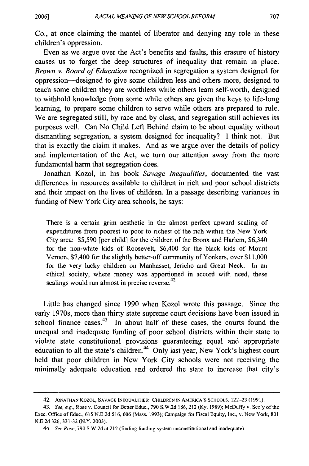Co., at once claiming the mantel of liberator and denying any role in these children's oppression.

Even as we argue over the Act's benefits and faults, this erasure of history causes us to forget the deep structures of inequality that remain in place. *Brown* v. *Board of Education* recognized in segregation a system designed for oppression—designed to give some children less and others more, designed to teach some children they are worthless while others learn self-worth, designed to withhold knowledge from some while others are given the keys to life-long learning, to prepare some children to serve while others are prepared to rule. We are segregated still, by race and by class, and segregation still achieves its purposes well. Can No Child Left Behind claim to be about equality without dismantling segregation, a system designed for inequality? I think not. But that is exactly the claim it makes. And as we argue over the details of policy and implementation of the Act, we tum our attention away from the more fundamental harm that segregation does.

Jonathan Kozol, in his book *Savage Inequalities,* documented the vast differences in resources available to children in rich and poor school districts and their impact on the lives of children. In a passage describing variances in funding of New York City area schools, he says:

There is a certain grim aesthetic in the almost perfect upward scaling of expenditures from poorest to poor to richest of the rich within the New York City area: \$5,590 [per child] for the children of the Bronx and Harlem, \$6,340 for the non-white kids of Roosevelt, \$6,400 for the black kids of Mount Vernon, \$7,400 for the slightly better-off community of Yonkers, over \$11,000 for the very lucky children on Manhasset, Jericho and Great Neck. In an ethical society, where money was apportioned in accord with need, these Vernon, \$7,400 for the slightly better-off comm<br>for the very lucky children on Manhasset, J<br>ethical society, where money was apportion<br>scalings would run almost in precise reverse.<sup>42</sup>

Little has changed since 1990 when Kozol wrote this passage. Since the early 1970s, more than thirty state supreme court decisions have been issued in school finance cases.<sup>43</sup> In about half of these cases, the courts found the unequal and inadequate funding of poor school districts within their state to violate state constitutional provisions guaranteeing equal and appropriate education to all the state's children.<sup>44</sup> Only last year, New York's highest court held that poor children in New York City schools were not receiving the minimally adequate education and ordered the state to increase that city's

<sup>42.</sup> JONATHAN KOZOL, SAVAGE INEQUALITIES: CHILDREN IN AMERICA'S SCHOOLS, 122-23 (1991).

*<sup>43.</sup> See, e.g.,* Rose v. Council for Better Educ., 790 S.W.2d 186,212 (Ky. 1989); McDuffy v. Sec'y of the Exec. Office of Educ., 615 N.E.2d 516, 606 (Mass. 1993); Campaign for Fiscal Equity, Inc., v. New York, 801 N.E.2d 326, 331-32 (N.Y. 2003).

*<sup>44.</sup> See Rose,* 790 S.W.2d at 212 (finding funding system unconstitutional and inadequate).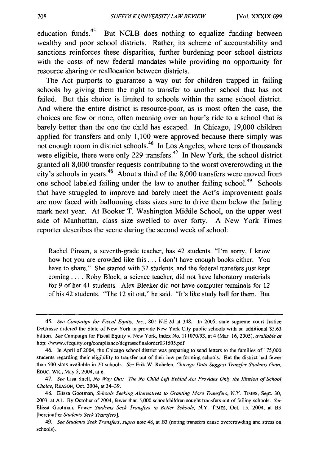education funds.<sup>45</sup> But NCLB does nothing to equalize funding between wealthy and poor school districts. Rather, its scheme of accountability and sanctions reinforces these disparities, further burdening poor school districts with the costs of new federal mandates while providing no opportunity for resource sharing or reallocation between districts.

The Act purports to guarantee a way out for children trapped in failing schools by giving them the right to transfer to another school that has not failed. But this choice is limited to schools within the same school district. And where the entire district is resource-poor, as is most often the case, the choices are few or none, often meaning over an hour's ride to a school that is barely better than the one the child has escaped. In Chicago, 19,000 children applied for transfers and only 1,100 were approved because there simply was not enough room in district schools.<sup>46</sup> In Los Angeles, where tens of thousands were eligible, there were only 229 transfers.<sup>47</sup> In New York, the school district granted all 8,000 transfer requests contributing to the worst overcrowding in the city's schools in years. 48 About a third of the 8,000 transfers were moved from one school labeled failing under the law to another failing school.<sup>49</sup> Schools that have struggled to improve and barely meet the Act's improvement goals are now faced with ballooning class sizes sure to drive them below the failing mark next year. At Booker T. Washington Middle School, on the upper west side of Manhattan, class size swelled to over forty. A New York Times reporter describes the scene during the second week of school:

Rachel Pinsen, a seventh-grade teacher, has 42 students. "I'm sorry, I know how hot you are crowded like this ... I don't have enough books either. You have to share." She started with 32 students, and the federal transfers just kept coming .... Roby Block, a science teacher, did not have laboratory materials for 9 of her 41 students. Alex Bleeker did not have computer terminals for 12 of his 42 students. "The 12 sit out," he said. "It's like study hall for them. But

*<sup>45.</sup> See Campaign for Fiscal Equity. Inc.,* 801 N.E.2d at 348. In 2005, state supreme court Justice DeGrasse ordered the State of New York to provide New York City public schools with an additional \$5.63 billion. *See* Campaign for Fiscal Equity v. New York, Index No. 111070193, at 4 (Mar. 16,2005), *available at*  http://www.cfequity.org/compliance/degrassefinalorder031505 .pdf.

<sup>46.</sup> In April of 2004, the Chicago school district was preparing to send letters to the families of 175,000 students regarding their eligibility to transfer out of their low performing schools. But the district had fewer than 500 slots available in 20 schools. *See* Erik W. Robelen, *Chicago Data Suggest Transfer Students Gain,*  EDUC. WK., May 5, 2004, at 6.

*<sup>47.</sup> See* Lisa Snell, *No Way Out: The No Child Left Behind Act Provides Only the l//usion of School Choice,* REASON, Oct. 2004, at 34-39.

<sup>48.</sup> Elissa Gootman, *Schools Seeking Alternatives to Granting More Transfers,* N.Y. TIMES, Sept. 30, 2003. at A I. By October of 2004, fewer than 5,000 schoolchildren sought transfers out of failing schools. *See*  Elissa Gootman, *Fewer Students Seek Transfers to Better Schools,* N.Y. TIMES, Oct. 15, 2004, at B3 [hereinafter *Students Seek Transfers].* 

*<sup>49.</sup> See Students Seek Transfers, supra* note 48, at B3 (noting transfers cause overcrowding and stress on schools).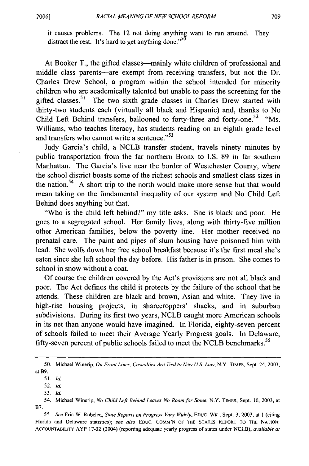it causes problems. The 12 not doing anything want to run around. They distract the rest. It's hard to get anything done."<sup>50</sup>

At Booker T., the gifted classes—mainly white children of professional and middle class parents—are exempt from receiving transfers, but not the Dr. Charles Drew School, a program within the school intended for minority children who are academically talented but unable to pass the screening for the gifted classes.<sup>51</sup> The two sixth grade classes in Charles Drew started with thirty-two students each (virtually all black and Hispanic) and, thanks to No Child Left Behind transfers, ballooned to forty-three and forty-one.<sup>52</sup> "Ms. Williams, who teaches literacy, has students reading on an eighth grade level and transfers who cannot write a sentence."<sup>53</sup>

Judy Garcia's child, a NCLB transfer student, travels ninety minutes by public transportation from the far northern Bronx to I.S. 89 in far southern Manhattan. The Garcia's live near the border of Westchester County, where the school district boasts some of the richest schools and smallest class sizes in the nation.<sup>54</sup> A short trip to the north would make more sense but that would mean taking on the fundamental inequality of our system and No Child Left Behind does anything but that.

"Who is the child left behind?" my title asks. She is black and poor. He goes to a segregated school. Her family lives, along with thirty-five million other American families, below the poverty line. Her mother received no prenatal care. The paint and pipes of slum housing have poisoned him with lead. She wolfs down her free school breakfast because it's the first meal she's eaten since she left school the day before. His father is in prison. She comes to school in snow without a coat.

Of course the children covered by the Act's provisions are not all black and poor. The Act defines the child it protects by the failure of the school that he attends. These children are black and brown, Asian and white. They live in high-rise housing projects, in sharecroppers' shacks, and in suburban subdivisions. During its first two years, NCLB caught more American schools in its net than anyone would have imagined. In Florida, eighty-seven percent of schools failed to meet their Average Yearly Progress goals. In Delaware, fifty-seven percent of public schools failed to meet the NCLB benchmarks.<sup>55</sup>

<sup>50.</sup> Michael Winerip, *On Front Lines, Casualties Are Tied to New U.S. Law,* N.Y. TIMES, Sept. 24, 2003, atB9.

*<sup>51.</sup> Id.* 

*<sup>52.</sup> Id.* 

*<sup>53.</sup> Id.* 

<sup>54.</sup> Michael Winerip, *No Child Left Behind Leaves No Room/or Some,* N.Y. TIMES, Sept. 10,2003, at B7.

*<sup>55.</sup> See* Eric W. Robelen, *State Reports on Progress Vary Widely,* EOUc. WK., Sept. 3,2003, at I (citing Florida and Delaware statistics); *see also* Eouc. COMM'N OF THE STATES REpORT TO THE NATION: ACCOUNTABILITY A YP 17-32 (2004) (reporting adequate yearly progress of states under NCLB), *available at*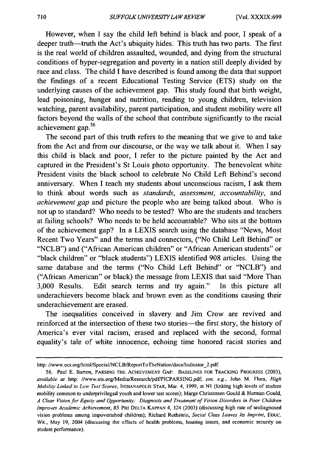However, when I say the child left behind is black and poor, I speak of a deeper truth—truth the Act's ubiquity hides. This truth has two parts. The first is the real world of children assaulted, wounded, and dying from the structural conditions of hyper-segregation and poverty in a nation still deeply divided by race and class. The child I have described is found among the data that support the findings of a recent Educational Testing Service (ETS) study on the underlying causes of the achievement gap. This study found that birth weight, lead poisoning, hunger and nutrition, reading to young children, television watching, parent availability, parent participation, and student mobility were all factors beyond the walls of the school that contribute significantly to the racial achievement gap. 56

The second part of this truth refers to the meaning that we give to and take from the Act and from our discourse, or the way we talk about it. When I say this child is black and poor, I refer to the picture painted by the Act and captured in the President's St Louis photo opportunity. The benevolent white President visits the black school to celebrate No Child Left Behind's second anniversary. When I teach my students about unconscious racism, I ask them to think about words such as *standards, assessment, accountability,* and *achievement gap* and picture the people who are being talked about. Who is not up to standard? Who needs to be tested? Who are the students and teachers at failing schools? Who needs to be held accountable? Who sits at the bottom of the achievement gap? In a LEXIS search using the database "News, Most Recent Two Years" and the terms and connectors, (''No Child Left Behind" or "NCLB") and ("African American children" or "African American students" or "black children" or "black students") LEXIS identified 908 articles. Using the same database and the terms ("No Child Left Behind" or "NCLB") and ("African American" or black) the message from LEXIS that said "More Than 3,000 Results. Edit search terms and try again." In this picture all underachievers become black and brown even as the conditions causing their underachievement are erased.

The inequalities conceived in slavery and Jim Crow are revived and reinforced at the intersection of these two stories—the first story, the history of America's ever vital racism, erased and replaced with the second, formal equality's tale of white innocence, echoing time honored racist stories and

http://www.ecs.org/html/Special/NCLB/ReportToTheNation/docs/Indicator\_2.pdf.

<sup>56.</sup> Paul E. Barton, PARSING THE ACHIEVEMENT GAP: BASELINES FOR TRACKING PROGRESS (2003), *available at* http://www.ets.org/MediaIResearch/pdfIPICPARSlNG.pdf; *see, e.g.,* John M. Flora, *High Mobility Linked to Low Test Scores,* INDIANAPOLIS STAR, Mar. 4, 1999, at NI (linking high levels of student mobility common to underprivileged youth and lower test scores); Marge Christensen Gould & Hennan Gould, *A Clear Vision for Equity and Opportunity: Diagnosis and Treatment of Vision Disorders in Poor Children*  Improves Academic Achievement, 85 PHI DELTA KAPPAN 4, 324 (2003) (discussing high rate of undiagnosed vision problems among impoverished children); Richard Rothstein, *Social Class Leaves Its Imprint,* Eouc. WK., May 19, 2004 (discussing the effects of health problems, housing issues, and economic security on student performance).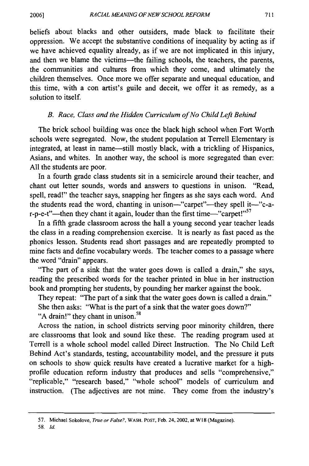beliefs about blacks and other outsiders, made black to facilitate their oppression. We accept the substantive conditions of inequality by acting as if we have achieved equality already, as if we are not implicated in this injury, and then we blame the victims—the failing schools, the teachers, the parents, the communities and cultures from which they come, and ultimately the children themselves. Once more we offer separate and unequal education, and this time, with a con artist's guile and deceit, we offer it as remedy, as a solution to itself.

### *B. Race, Class and the Hidden Curriculum of No Child Left Behind*

The brick school building was once the black high school when Fort Worth schools were segregated. Now, the student population at Terrell Elementary is integrated, at least in name—still mostly black, with a trickling of Hispanics, Asians, and whites. In another way, the school is more segregated than ever: All the students are poor.

In a fourth grade class students sit in a semicircle around their teacher, and chant out letter sounds, words and answers to questions in unison. "Read, spell, read!" the teacher says, snapping her fingers as she says each word. And the students read the word, chanting in unison—"carpet"—they spell it—"c-ar-p-e-t"—then they chant it again, louder than the first time—"carpet!" $57$ 

In a fifth grade classroom across the hall a young second year teacher leads the class in a reading comprehension exercise. It is nearly as fast paced as the phonics lesson. Students read short passages and are repeatedly prompted to mine facts and define vocabulary words. The teacher comes to a passage where the word "drain" appears.

"The part of a sink that the water goes down is called a drain," she says, reading the prescribed words for the teacher printed in blue in her instruction book and prompting her students, by pounding her marker against the book.

They repeat: "The part of a sink that the water goes down is called a drain."

She then asks: "What is the part of a sink that the water goes down?"

"A drain!" they chant in unison.<sup>58</sup>

Across the nation, in school districts serving poor minority children, there are classrooms that look and sound like these. The reading program used at Terrell is a whole school model called Direct Instruction. The No Child Left Behind Act's standards, testing, accountability model, and the pressure it puts on schools to show quick results have created a lucrative market for a highprofile education reform industry that produces and sells "comprehensive," "replicable," "research based," "whole school" models of curriculum and instruction. (The adjectives are not mine. They come from the industry's

<sup>57.</sup> Michael Sokolove, *True or False?,* WASH. POST, Feb. 24, 2002, at WI8 (Magazine).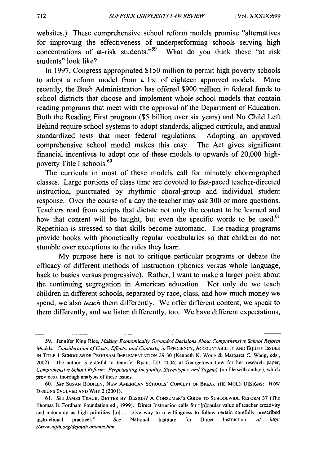websites.) These comprehensive school reform models promise "alternatives for improving the effectiveness of underperforming schools serving high concentrations of at-risk students."<sup>59</sup> What do you think these "at risk students" look like?

In 1997, Congress appropriated \$150 million to permit high poverty schools to adopt a reform model from a list of eighteen approved models. More recently, the Bush Administration has offered \$900 million in federal funds to school districts that choose and implement whole school models that contain reading programs that meet with the approval of the Department of Education. Both the Reading First program (\$5 billion over six years) and No Child Left Behind require school systems to adopt standards, aligned curricula, and annual standardized tests that meet federal regulations. Adopting an approved comprehensive school model makes this easy. The Act gives significant financial incentives to adopt one of these models to upwards of 20,000 highpoverty Title I schools.<sup>60</sup>

The curricula in most of these models call for minutely choreographed classes. Large portions of class time are devoted to fast-paced teacher-directed instruction, punctuated by rhythmic choral-group and individual student response. Over the course of a day the teacher may ask 300 or more questions. Teachers read from scripts that dictate not only the content to be learned and how that content will be taught, but even the specific words to be used.<sup>61</sup> Repetition is stressed so that skills become automatic. The reading programs provide books with phonetically regular vocabularies so that children do not stumble over exceptions to the rules they learn.

My purpose here is not to critique particular programs or debate the efficacy of different methods of instruction (phonics versus whole language, back to basics versus progressive). Rather, I want to make a larger point about the continuing segregation in American education. Not only do we teach children in different schools, separated by race, class, and how much money we spend; we also *teach* them differently. We offer different content, we speak to them differently, and we listen differently, too. We have different expectations,

<sup>59.</sup> Jennifer King Rice, *Making Economically Grounded Decisions About Comprehensive School Reform Models: Consideration of Costs, Effects, and Contexts, in* EFFICIENCY, ACCOUNTABILITY AND EQUITY ISSUES IN TITLE 1 SCHOOLWIDE PROGRAM IMPLEMENTATION 29-30 (Kenneth K. Wong & Margaret C. Wang, eds., 2002). The author is grateful to Jennifer Ryan, J.D. 2004, at Georgetown Law for her research paper, *Comprehensive School Reform: Perpetuating Inequality, Stereotypes, and Stigma?* (on file with author), which provides a thorough analysis of these issues.

*<sup>60.</sup> See* SUSAN BODILLY, NEW AMERICAN SCHOOLS' CONCEPT OF BREAK THE MOLD DESIGNS: How DESIGNS EVOLVED AND WHY 2 (2001).

*<sup>61.</sup> See* JAMES TRAUB, BETTER BY DESIGN? A CONSUMER'S GUIDE TO SCHOOLWIDE REFORM 37 (The Thomas B. Fordham Foundation ed., 1999). Direct Instruction calls for "[p]opular value of teacher creativity and autonomy as high priorities  $[to]$ ... give way to a willingness to follow certain carefully prescribed instructional practices." *See* National Institute for Direct Instruction, *at http: Ilwww.nifdi.orgldefaultcontents.htm.*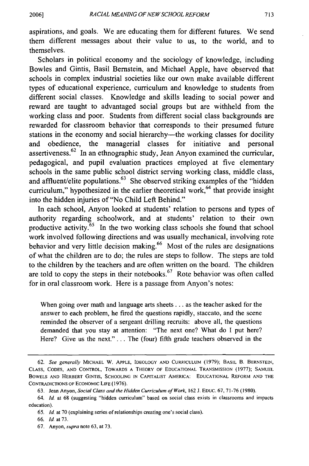aspirations, and goals. We are educating them for different futures. We send them different messages about their value to us, to the world, and to themselves.

Scholars in political economy and the sociology of knowledge, including Bowles and Gintis, Basil Bernstein, and Michael Apple, have observed that schools in complex industrial societies like our own make available different types of educational experience, curriculum and knowledge to students from different social classes. Knowledge and skills leading to social power and reward are taught to advantaged social groups but are withheld from the working class and poor. Students from different social class backgrounds are rewarded for classroom behavior that corresponds to their presumed future stations in the economy and social hierarchy—the working classes for docility and obedience, the managerial classes for initiative and personal assertiveness.62 In an ethnographic study, Jean Anyon examined the curricular, pedagogical, and pupil evaluation practices employed at five elementary schools in the same public school district serving working class, middle class, and affluent/elite populations. $63$  She observed striking examples of the "hidden" curriculum," hypothesized in the earlier theoretical work, $64$  that provide insight into the hidden injuries of "No Child Left Behind."

In each school, Anyon looked at students' relation to persons and types of authority regarding schoolwork, and at students' relation to their own productive activity. $65$  In the two working class schools she found that school work involved following directions and was usually mechanical, involving rote behavior and very little decision making.<sup>66</sup> Most of the rules are designations of what the children are to do; the rules are steps to follow. The steps are told to the children by the teachers and are often written on the board. The children are told to copy the steps in their notebooks. $67$  Rote behavior was often called for in oral classroom work. Here is a passage from Anyon's notes:

When going over math and language arts sheets ... as the teacher asked for the answer to each problem, he fired the questions rapidly, staccato, and the scene reminded the observer of a sergeant drilling recruits: above all, the questions demanded that you stay at attention: "The next one? What do I put here? Here? Give us the next." ... The (four) fifth grade teachers observed in the

*<sup>62.</sup> See generally* MICHAEL W. ApPLE, IDEOLOGY AND CURRICULUM (l979); BASIL B. BERNSTEIN, CLASS, CODES, AND CONTROL, TOWARDS A THEORY OF EDUCATIONAL TRANSMISSION (1977); SAMUEL BOWELS AND HERBERT GINTlS, SCHOOLING IN CAPITALIST AMERICA: EDUCATIONAL REFORM AND THE CONTRADICTIONS OF ECONOMIC LIFE (1976).

<sup>63.</sup> Jean Anyon, *Social Class and the Hidden Curriculum of Work*, 162 J. EDUC. 67, 71-76 (1980).

*<sup>64.</sup> Id.* at 68 (suggesting "hidden curriculum" based on social class exists in classrooms and impacts education).

<sup>65.</sup> *Id.* at 70 (explaining series of relationships creating one's social class).

*<sup>66.</sup> Id.* at 73.

<sup>67.</sup> Anyon, *supra* note 63, at 73.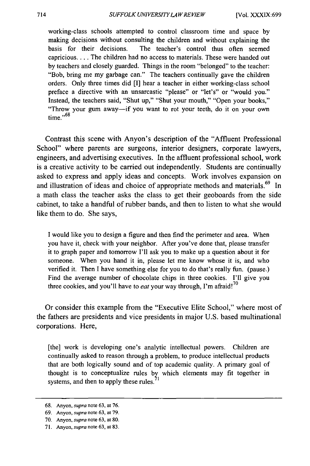working-class schools attempted to control classroom time and space by making decisions without consulting the children and without explaining the basis for their decisions. The teacher's control thus often seemed capricious .... The children had no access to materials. These were handed out by teachers and closely guarded. Things in the room "belonged" to the teacher: "Bob, bring me my garbage can." The teachers continually gave the children orders. Only three times did [I] hear a teacher in either working-class school preface a directive with an unsarcastic "please" or "let's" or "would you." Instead, the teachers said, "Shut up," "Shut your mouth," "Open your books," "Throw your gum away-if you want to rot your teeth, do it on your own  $time \cdot$ <sup>,68</sup>

Contrast this scene with Anyon's description of the "Affluent Professional School" where parents are surgeons, interior designers, corporate lawyers, engineers, and advertising executives. In the affluent professional school, work is a creative activity to be carried out independently. Students are continually asked to express and apply ideas and concepts. Work involves expansion on and illustration of ideas and choice of appropriate methods and materials.<sup>69</sup> In a math class the teacher asks the class to get their geoboards from the side cabinet, to take a handful of rubber bands, and then to listen to what she would like them to do. She says,

I would like you to design a figure and then find the perimeter and area. When you have it, check with your neighbor. After you've done that, please transfer it to graph paper and tomorrow I'll ask you to make up a question about it for someone. When you hand it in, please let me know whose it is, and who verified it. Then I have something else for you to do that's really fun. (pause.) Find the average number of chocolate chips in three cookies. I'll give you three cookies, and you'll have to *eat* your way through, I'm afraid!<sup>70</sup>

Or consider this example from the "Executive Elite School," where most of the fathers are presidents and vice presidents in major U.S. based multinational corporations. Here,

[the] work is developing one's analytic intellectual powers. Children are continually asked to reason through a problem, to produce intellectual products that are both logically sound and of top academic quality. A primary goal of thought is to conceptualize rules by which elements may fit together in systems, and then to apply these rules.

<sup>68.</sup> Anyon, *supra* note 63, at 76.

<sup>69.</sup> Anyon, *supra* note 63, at 79.

<sup>70.</sup> Anyon, *supra* note 63, at 80.

<sup>71.</sup> Anyon, *supra* note 63, at 83.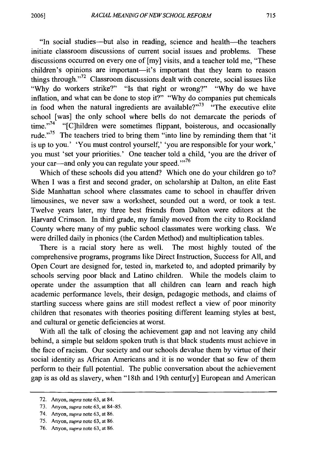"In social studies-but also in reading, science and health-the teachers initiate classroom discussions of current social issues and problems. These discussions occurred on every one of [my] visits, and a teacher told me, "These children's opinions are important-it's important that they learn to reason things through."<sup>72</sup> Classroom discussions dealt with concrete, social issues like "Why do workers strike?" "Is that right or wrong?" "Why do we have inflation, and what can be done to stop it?" "Why do companies put chemicals in food when the natural ingredients are available? $173$  "The executive elite school [was] the only school where bells do not demarcate the periods of time."<sup>74</sup> "[C]hildren were sometimes flippant, boisterous, and occasionally rude. $\frac{1}{2}$ .<sup>75</sup> The teachers tried to bring them "into line by reminding them that 'it is up to you.' 'You must control yourself,' 'you are responsible for your work,' you must 'set your priorities.' One teacher told a child, 'you are the driver of your car—and only you can regulate your speed."<sup>76</sup>

Which of these schools did you attend? Which one do your children go to? When I was a first and second grader, on scholarship at Dalton, an elite East Side Manhattan school where classmates came to school in chauffer driven limousines, we never saw a worksheet, sounded out a word, or took a test. Twelve years later, my three best friends from Dalton were editors at the Harvard Crimson. In third grade, my family moved from the city to Rockland County where many of my public school classmates were working class. We were drilled daily in phonics (the Carden Method) and multiplication tables.

There is a racial story here as well. The most highly touted of the comprehensive programs, programs like Direct Instruction, Success for All, and Open Court are designed for, tested in, marketed to, and adopted primarily by schools serving poor black and Latino children. While the models claim to operate under the assumption that all children can learn and reach high academic performance levels, their design, pedagogic methods, and claims of startling success where gains are still modest reflect a view of poor minority children that resonates with theories positing different learning styles at best, and cultural or genetic deficiencies at worst.

With all the talk of closing the achievement gap and not leaving any child behind, a simple but seldom spoken truth is that black students must achieve in the face of racism. Our society and our schools devalue them by virtue of their social identity as African Americans and it is no wonder that so few of them perform to their full potential. The public conversation about the achievement gap is as old as slavery, when "18th and 19th centur[y] European and American

<sup>72.</sup> Anyon, *supra* note 63, at 84.

<sup>73.</sup> Anyon, *supra* note 63, at 84--85.

<sup>74.</sup> Anyon, *supra* note 63, at 86.

<sup>75.</sup> Anyon, *supra* note 63, at 86.

<sup>76.</sup> Anyon, *supra* note 63, at 86.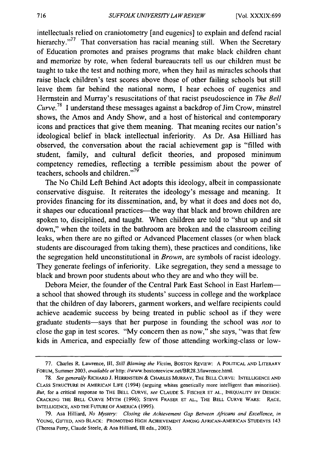intellectuals relied on craniotometry [and eugenics] to explain and defend racial hierarchy."<sup>77</sup> That conversation has racial meaning still. When the Secretary of Education promotes and praises programs that make black children chant and memorize by rote, when federal bureaucrats tell us our children must be taught to take the test and nothing more, when they hail as miracles schools that raise black children's test scores above those of other failing schools but still leave them far behind the national norm, I hear echoes of eugenics and Herrnstein and Murray's resuscitations of that racist pseudoscience in *The Bell Curve.*<sup>78</sup> I understand these messages against a backdrop of Jim Crow, minstrel shows, the Amos and Andy Show, and a host of historical and contemporary icons and practices that give them meaning. That meaning recites our nation's ideological belief in black intellectual inferiority. As Dr. Asa Hilliard has observed, the conversation about the racial achievement gap is "filled with student, family, and cultural deficit theories, and proposed minimum competency remedies, reflecting a terrible pessimism about the power of teachers, schools and children. $n^{79}$ 

The No Child Left Behind Act adopts this ideology, albeit in compassionate conservative disguise. It reiterates the ideology's message and meaning. It provides financing for its dissemination, and, by what it does and does not do, it shapes our educational practices—the way that black and brown children are spoken to, disciplined, and taught. When children are told to "shut up and sit down," when the toilets in the bathroom are broken and the classroom ceiling leaks, when there are no gifted or Advanced Placement classes (or when black students are discouraged from taking them), these practices and conditions, like the segregation held unconstitutional in *Brown,* are symbols of racist ideology. They generate feelings of inferiority. Like segregation, they send a message to black and brown poor students about who they are and who they will be.

Debora Meier, the founder of the Central Park East School in East Harlema school that showed through its students' success in college and the workplace that the children of day laborers, garment workers, and welfare recipients could achieve academic success by being treated in public school as if they were graduate students-says that her purpose in founding the school was *not* to close the gap in test scores. "My concern then as now," she says, "was that few kids in America, and especially few of those attending working-class or low-

<sup>77.</sup> Charles R. Lawrence, III, *Still Blaming the Victim,* BOSTON REVIEW: A POLITICAL AND LITERARY FORUM, Summer 2003, *available at http://www.bostonreview.net*/BR28.3/lawrence.html.

*<sup>78.</sup> See generally* RICHARD J. HERRNSTEIN & CHARLES MURRAY, THE BELL CURVE: INTELLIGENCE AND CLASS STRUCTURE IN AMERICAN LIFE (1994) (arguing whites genetically more intelligent than minorities). *But,* for a critical response to THE BELL CURVE, *see* CLAUDE S. FISCHER ET AL., INEQUALITY BY DESIGN: CRACKING THE BELL CURVE MYTH (1996); STEVE FRASER ET AL., THE BELL CURVE WARS: RACE, INTELLIGENCE, AND THE FUTURE OF AMERICA (1995).

<sup>79.</sup> Asa Hilliard, *No Mystery: Closing the Achievement Gap Between Africans and Excellence, in*  YOUNG, GIFTED, AND BLACK: PROMOTING HIGH ACHIEVEMENT AMONG AFRICAN-AMERICAN STUDENTS 143 (Theresa Perry, Claude Steele, & Asa Hilliard, III eds., 2003).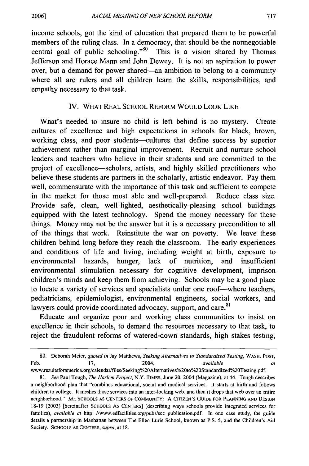income schools, got the kind of education that prepared them to be powerful members of the ruling class. In a democracy, that should be the nonnegotiable central goal of public schooling."<sup>80</sup> This is a vision shared by Thomas Jefferson and Horace Mann and John Dewey. It is not an aspiration to power over, but a demand for power shared-an ambition to belong to a community where all are rulers and all children learn the skills, responsibilities, and empathy necessary to that task.

### IV. WHAT REAL SCHOOL REFORM WOULD LOOK LIKE

What's needed to insure no child is left behind is no mystery. Create cultures of excellence and high expectations in schools for black, brown, working class, and poor students—cultures that define success by superior achievement rather than marginal improvement. Recruit and nurture school leaders and teachers who believe in their students and are committed to the project of excellence-scholars, artists, and highly skilled practitioners who believe these students are partners in the scholarly, artistic endeavor. Pay them well, commensurate with the importance of this task and sufficient to compete in the market for those most able and well-prepared. Reduce class size. Provide safe, clean, well-lighted, aesthetically-pleasing school buildings equipped with the latest technology. Spend the money necessary for these things. Money may not be the answer but it is a necessary precondition to all of the things that work. Reinstitute the war on poverty. We leave these children behind long before they reach the classroom. The early experiences and conditions of life and living, including weight at birth, exposure to environmental hazards, hunger, lack of nutrition, and insufficient environmental stimulation necessary for cognitive development, imprison children's minds and keep them from achieving. Schools may be a good place to locate a variety of services and specialists under one roof-where teachers, pediatricians, epidemiologist, environmental engineers, social workers, and lawyers could provide coordinated advocacy, support, and care.<sup>81</sup>

Educate and organize poor and working class communities to insist on excellence in their schools, to demand the resources necessary to that task, to reject the fraudulent reforms of watered-down standards, high stakes testing,

www.resultsforamerica.org/calendar/files/Seeking%20Alternatives%20to%20Standardized%20Testing.pdf.

<sup>80.</sup> Deborah Meier, *quoted in* Jay Matthews, *Seeking Alternatives to Standardized Testing,* WASH. POST, Feb. 17, 2004, *available at* 

*<sup>81.</sup> See* Paul Tough, *The Harlem Project,* N.Y. TIMES, June 20, 2004 (Magazine), at 44. Tough describes a neighborhood plan that "combines educational, social and medical services. It starts at birth and follows children to college. It meshes those services into an inter-locking web, and then it drops that web over an entire neighborhood." *Id.;* SCHOOLS AS CENTERS OF COMMUNITY: A CITIZEN'S GUIDE FOR PLANNING AND DESIGN 18-19 (2003) [hereinafter SCHOOLS AS CENTERS] (describing ways schools provide integrated services for families), *available at* http: //www.edfacilities.org/pubs/scc publication.pdf. In one case study, the guide details a partnership in Manhattan between The Ellen Lurie School, known as P.S. 5, and the Children's Aid Society. SCHOOLS AS CENTERS, *supra,* at 18.